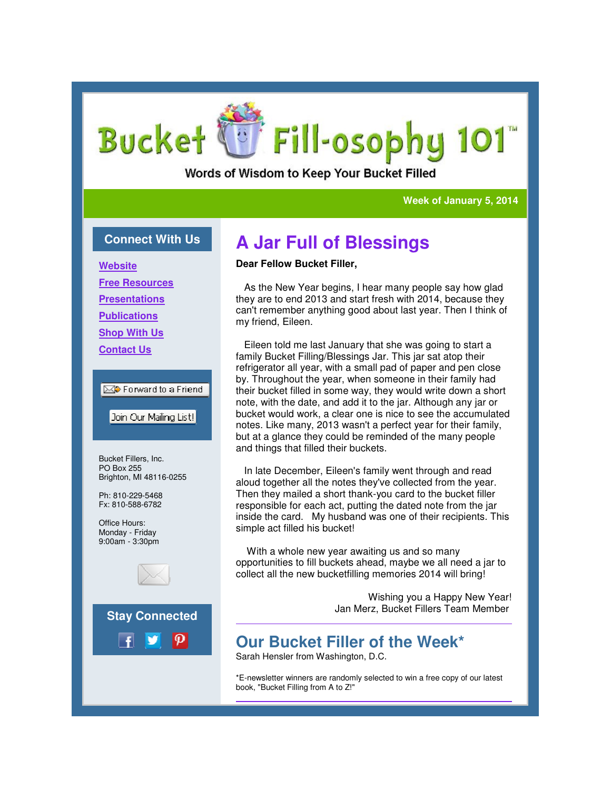# Fill-osophy 101 Bucket C

Words of Wisdom to Keep Your Bucket Filled

#### **Week of January 5, 2014**

### **Connect With Us**

**Website**

**Free Resources**

**Presentations**

**Publications**

**Shop With Us**

**Contact Us**

item Forward to a Friend

Join Our Mailing List!

Bucket Fillers, Inc. PO Box 255 Brighton, MI 48116-0255

Ph: 810-229-5468 Fx: 810-588-6782

Office Hours: Monday - Friday 9:00am - 3:30pm





## **A Jar Full of Blessings**

### **Dear Fellow Bucket Filler,**

 As the New Year begins, I hear many people say how glad they are to end 2013 and start fresh with 2014, because they can't remember anything good about last year. Then I think of my friend, Eileen. As the New Year begins, I hear many people say how glad<br>they are to end 2013 and start fresh with 2014, because they<br>can't remember anything good about last year. Then I think of<br>my friend, Eileen.<br>Eileen told me last Janu

 Eileen told me last January that she was going to start a family Bucket Filling/Blessings Jar. This jar sat atop their refrigerator all year, with a small pad of paper and pen close by. Throughout the year, when someone in their family had their bucket filled in some way, they would write down a short note, with the date, and add it to the jar. Although any jar or bucket would work, a clear one is nice to see the accumulated notes. Like many, 2013 wasn't a perfect year for their family, but at a glance they could be reminded of the many people and things that filled their buckets. family Bucket Filling/Blessings Jar. This jar sat atop their refrigerator all year, with a small pad of paper and pen close by. Throughout the year, when someone in their family had their bucket filled in some way, they wo

 In late December, Eileen's family went through and read aloud together all the notes they've collected from the year. Then they mailed a short thank-you card to the bucket filler responsible for each act, putting the dated note from the jar inside the card. My husband was one of their recipients. This simple act filled his bucket!

 With a whole new year awaiting us and so many opportunities to fill buckets ahead, maybe we all need a jar to collect all the new bucketfilling memories 2014 will bring! responsible for each act, putting the dated note from the j<br>inside the card. My husband was one of their recipients.<br>simple act filled his bucket!<br>With a whole new year awaiting us and so many<br>opportunities to fill buckets

> Wishing you a Happy New Year! Jan Merz, Bucket Fillers Team Member you Jan Merz, Member

### **Our Bucket Filler of the Week\* Our**

Sarah Hensler from Washington, D.C.

\*E-newsletter winners are randomly selected to win a free copy of our latest newsletter book, "Bucket Filling from A to Z!"